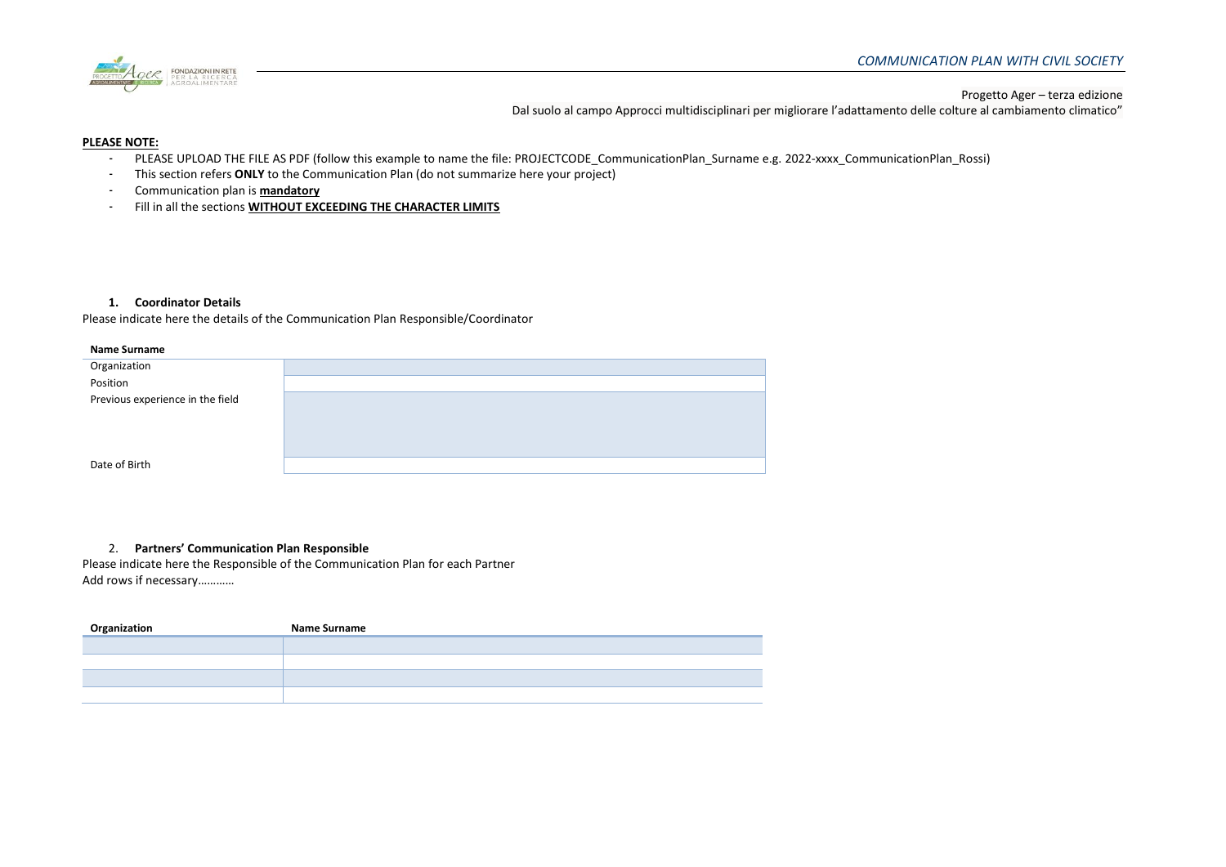

Dal suolo al campo Approcci multidisciplinari per migliorare l'adattamento delle colture al cambiamento climatico"

## **PLEASE NOTE:**

- PLEASE UPLOAD THE FILE AS PDF (follow this example to name the file: PROJECTCODE CommunicationPlan Surname e.g. 2022-xxxx CommunicationPlan Rossi)
- This section refers **ONLY** to the Communication Plan (do not summarize here your project)
- Communication plan is **mandatory**
- Fill in all the sections **WITHOUT EXCEEDING THE CHARACTER LIMITS**

# **1. Coordinator Details**

Please indicate here the details of the Communication Plan Responsible/Coordinator

#### **Name Surname**

# 2. **Partners' Communication Plan Responsible**

Please indicate here the Responsible of the Communication Plan for each Partner Add rows if necessary…………

| Organization | <b>Name Surname</b> |
|--------------|---------------------|
|              |                     |
|              |                     |
|              |                     |
|              |                     |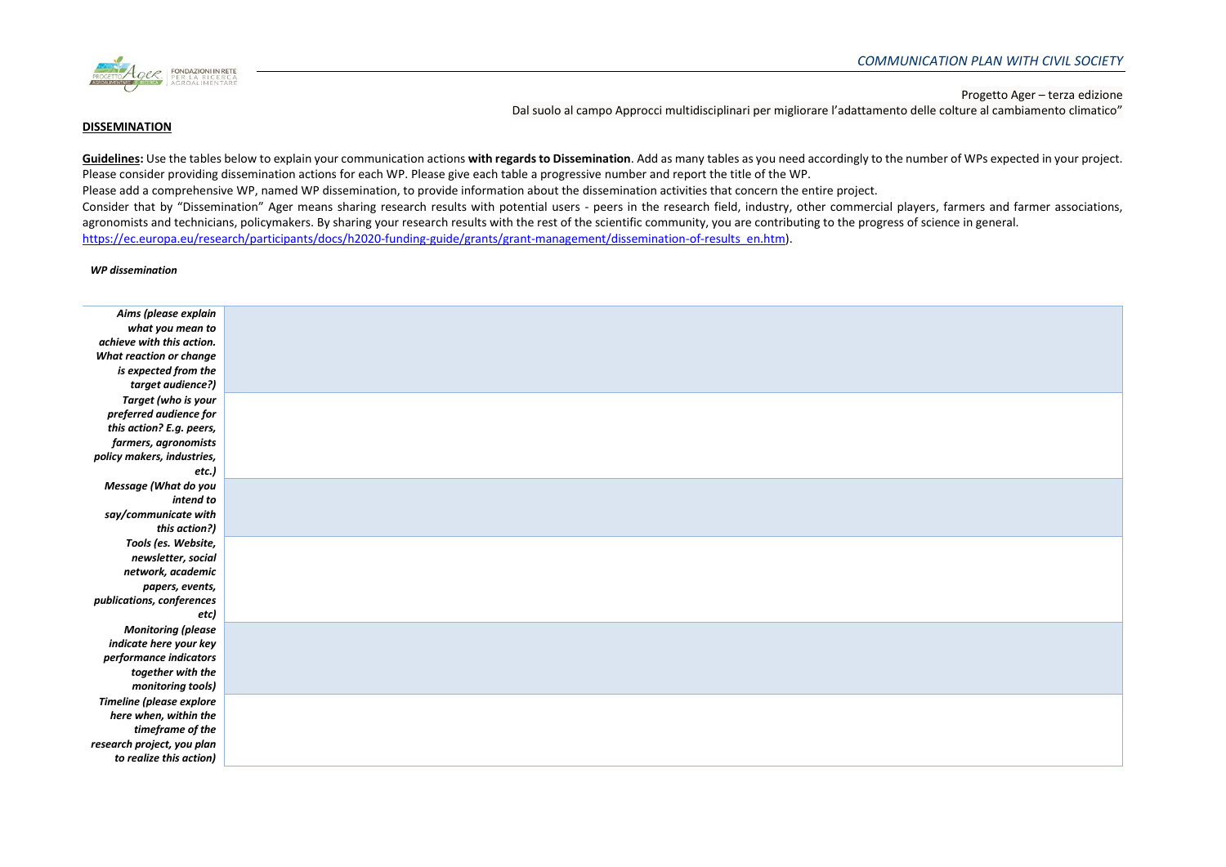

#### **DISSEMINATION**

Dal suolo al campo Approcci multidisciplinari per migliorare l'adattamento delle colture al cambiamento climatico"

Guidelines: Use the tables below to explain your communication actions with regards to Dissemination. Add as many tables as you need accordingly to the number of WPs expected in your project. Please consider providing dissemination actions for each WP. Please give each table a progressive number and report the title of the WP.

Please add a comprehensive WP, named WP dissemination, to provide information about the dissemination activities that concern the entire project.

Consider that by "Dissemination" Ager means sharing research results with potential users - peers in the research field, industry, other commercial players, farmers and farmer associations, agronomists and technicians, policymakers. By sharing your research results with the rest of the scientific community, you are contributing to the progress of science in general. [https://ec.europa.eu/research/participants/docs/h2020-funding-guide/grants/grant-management/dissemination-of-results\\_en.htm\)](https://ec.europa.eu/research/participants/docs/h2020-funding-guide/grants/grant-management/dissemination-of-results_en.htm).

#### *WP dissemination*

| Aims (please explain       |  |
|----------------------------|--|
| what you mean to           |  |
| achieve with this action.  |  |
| What reaction or change    |  |
| is expected from the       |  |
| target audience?)          |  |
| Target (who is your        |  |
| preferred audience for     |  |
| this action? E.g. peers,   |  |
| farmers, agronomists       |  |
| policy makers, industries, |  |
| etc.)                      |  |
| Message (What do you       |  |
| intend to                  |  |
| say/communicate with       |  |
| this action?)              |  |
| Tools (es. Website,        |  |
| newsletter, social         |  |
| network, academic          |  |
| papers, events,            |  |
| publications, conferences  |  |
| etc)                       |  |
| <b>Monitoring (please</b>  |  |
| indicate here your key     |  |
| performance indicators     |  |
| together with the          |  |
| monitoring tools)          |  |
| Timeline (please explore   |  |
| here when, within the      |  |
| timeframe of the           |  |
| research project, you plan |  |
| to realize this action)    |  |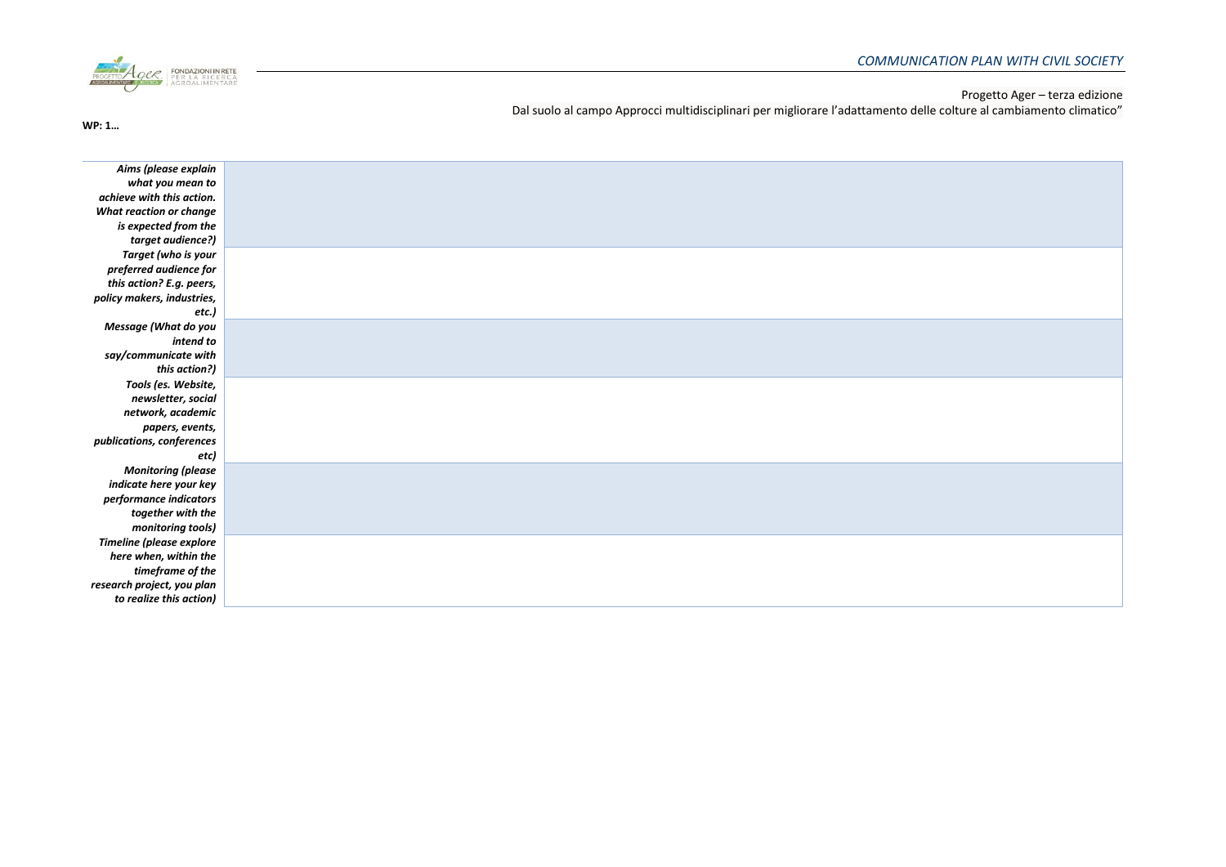

Dal suolo al campo Approcci multidisciplinari per migliorare l'adattamento delle colture al cambiamento climatico"

**WP: 1…**

| Aims (please explain            |  |
|---------------------------------|--|
| what you mean to                |  |
| achieve with this action.       |  |
| What reaction or change         |  |
| is expected from the            |  |
| target audience?)               |  |
| Target (who is your             |  |
| preferred audience for          |  |
| this action? E.g. peers,        |  |
| policy makers, industries,      |  |
| etc.)                           |  |
| Message (What do you            |  |
| intend to                       |  |
| say/communicate with            |  |
| this action?)                   |  |
| Tools (es. Website,             |  |
| newsletter, social              |  |
| network, academic               |  |
| papers, events,                 |  |
| publications, conferences       |  |
| etc)                            |  |
| <b>Monitoring (please</b>       |  |
| indicate here your key          |  |
| performance indicators          |  |
| together with the               |  |
| monitoring tools)               |  |
| <b>Timeline (please explore</b> |  |
| here when, within the           |  |
| timeframe of the                |  |
| research project, you plan      |  |
| to realize this action)         |  |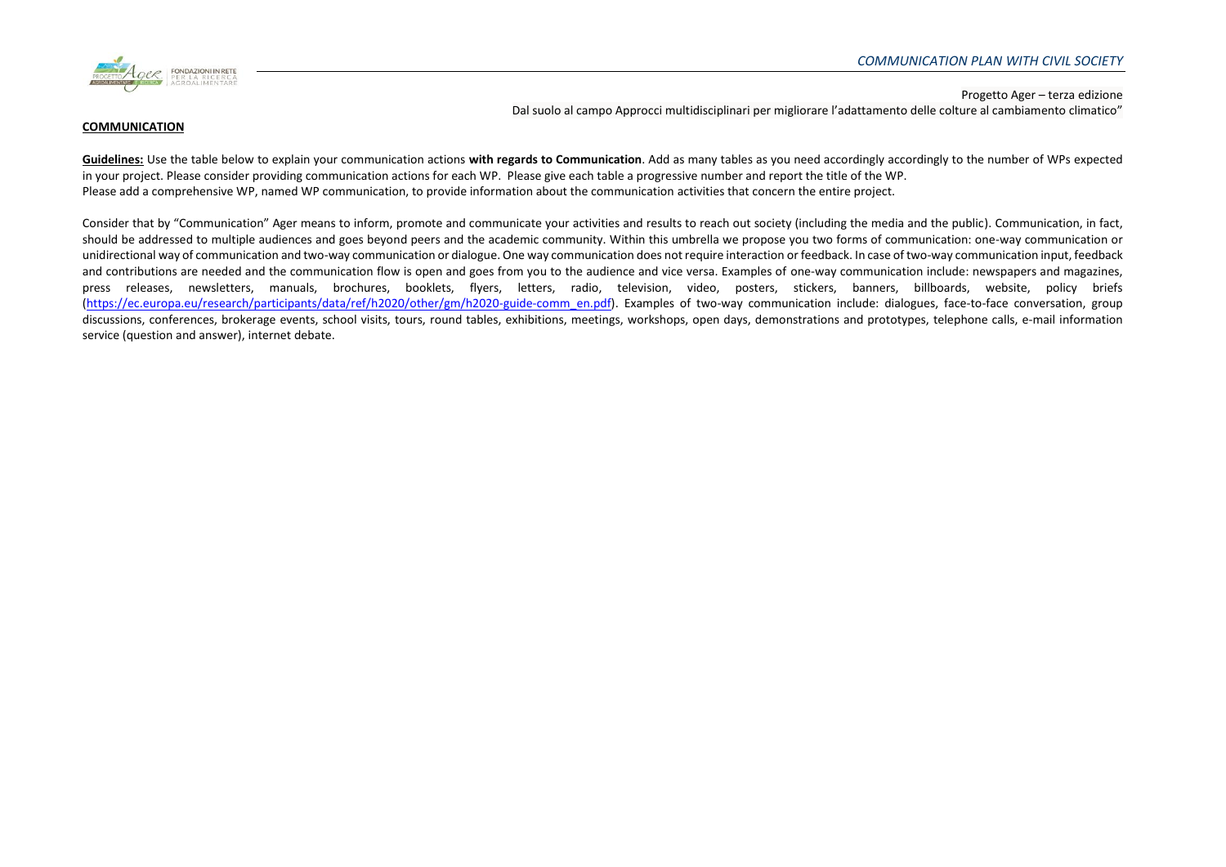

Dal suolo al campo Approcci multidisciplinari per migliorare l'adattamento delle colture al cambiamento climatico"

### **COMMUNICATION**

**Guidelines:** Use the table below to explain your communication actions **with regards to Communication**. Add as many tables as you need accordingly accordingly to the number of WPs expected in your project. Please consider providing communication actions for each WP. Please give each table a progressive number and report the title of the WP. Please add a comprehensive WP, named WP communication, to provide information about the communication activities that concern the entire project.

Consider that by "Communication" Ager means to inform, promote and communicate your activities and results to reach out society (including the media and the public). Communication, in fact, should be addressed to multiple audiences and goes beyond peers and the academic community. Within this umbrella we propose you two forms of communication: one-way communication or unidirectional way of communication and two-way communication or dialogue. One way communication does not require interaction or feedback. In case of two-way communication input, feedback and contributions are needed and the communication flow is open and goes from you to the audience and vice versa. Examples of one-way communication include: newspapers and magazines, press releases, newsletters, manuals, brochures, booklets, flyers, letters, radio, television, video, posters, stickers, banners, billboards, website, policy briefs [\(https://ec.europa.eu/research/participants/data/ref/h2020/other/gm/h2020-guide-comm\\_en.pdf\)](https://ec.europa.eu/research/participants/data/ref/h2020/other/gm/h2020-guide-comm_en.pdf). Examples of two-way communication include: dialogues, face-to-face conversation, group discussions, conferences, brokerage events, school visits, tours, round tables, exhibitions, meetings, workshops, open days, demonstrations and prototypes, telephone calls, e-mail information service (question and answer), internet debate.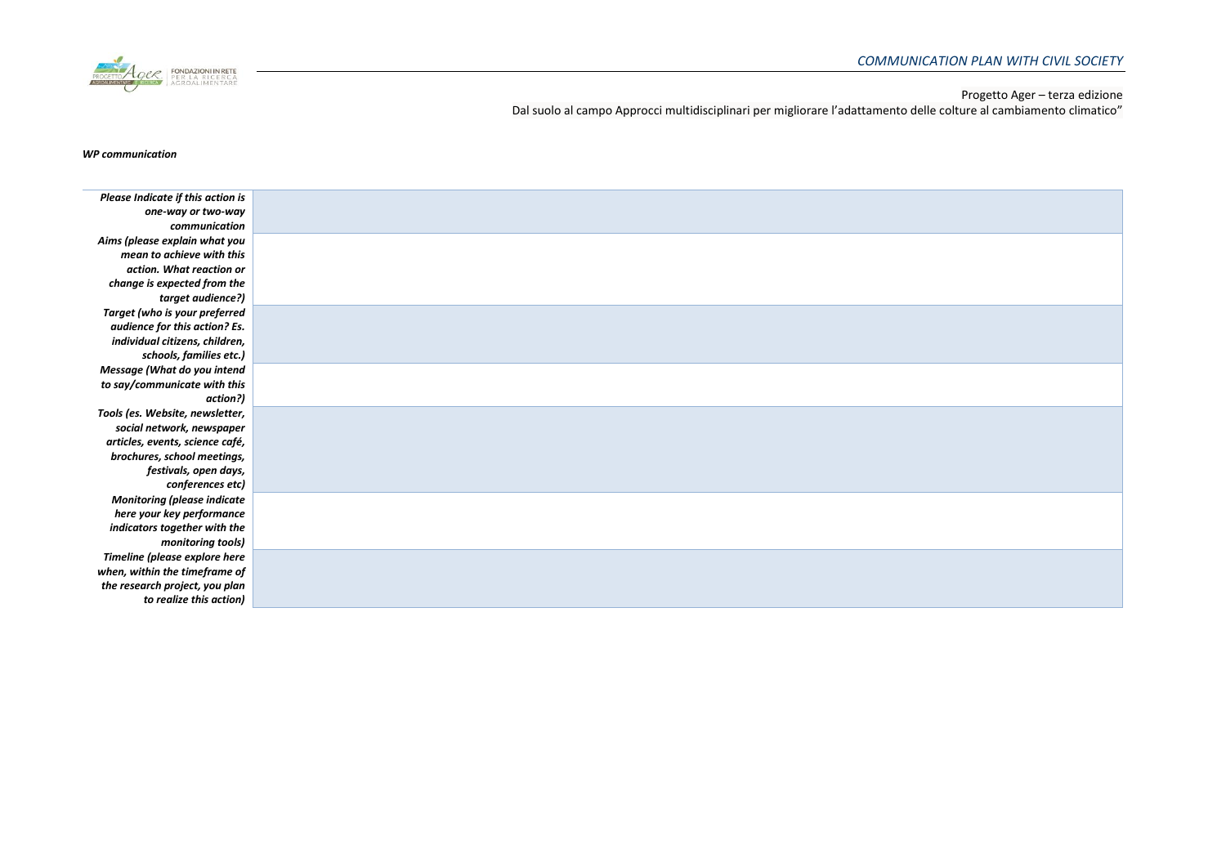

Dal suolo al campo Approcci multidisciplinari per migliorare l'adattamento delle colture al cambiamento climatico"

### *WP communication*

| Please Indicate if this action is  |  |
|------------------------------------|--|
| one-way or two-way                 |  |
| communication                      |  |
| Aims (please explain what you      |  |
| mean to achieve with this          |  |
| action. What reaction or           |  |
| change is expected from the        |  |
| target audience?)                  |  |
| Target (who is your preferred      |  |
| audience for this action? Es.      |  |
| individual citizens, children,     |  |
| schools, families etc.)            |  |
| Message (What do you intend        |  |
| to say/communicate with this       |  |
| action?)                           |  |
| Tools (es. Website, newsletter,    |  |
| social network, newspaper          |  |
| articles, events, science café,    |  |
| brochures, school meetings,        |  |
| festivals, open days,              |  |
| conferences etc)                   |  |
| <b>Monitoring (please indicate</b> |  |
| here your key performance          |  |
| indicators together with the       |  |
| monitoring tools)                  |  |
| Timeline (please explore here      |  |
| when, within the timeframe of      |  |
| the research project, you plan     |  |
| to realize this action)            |  |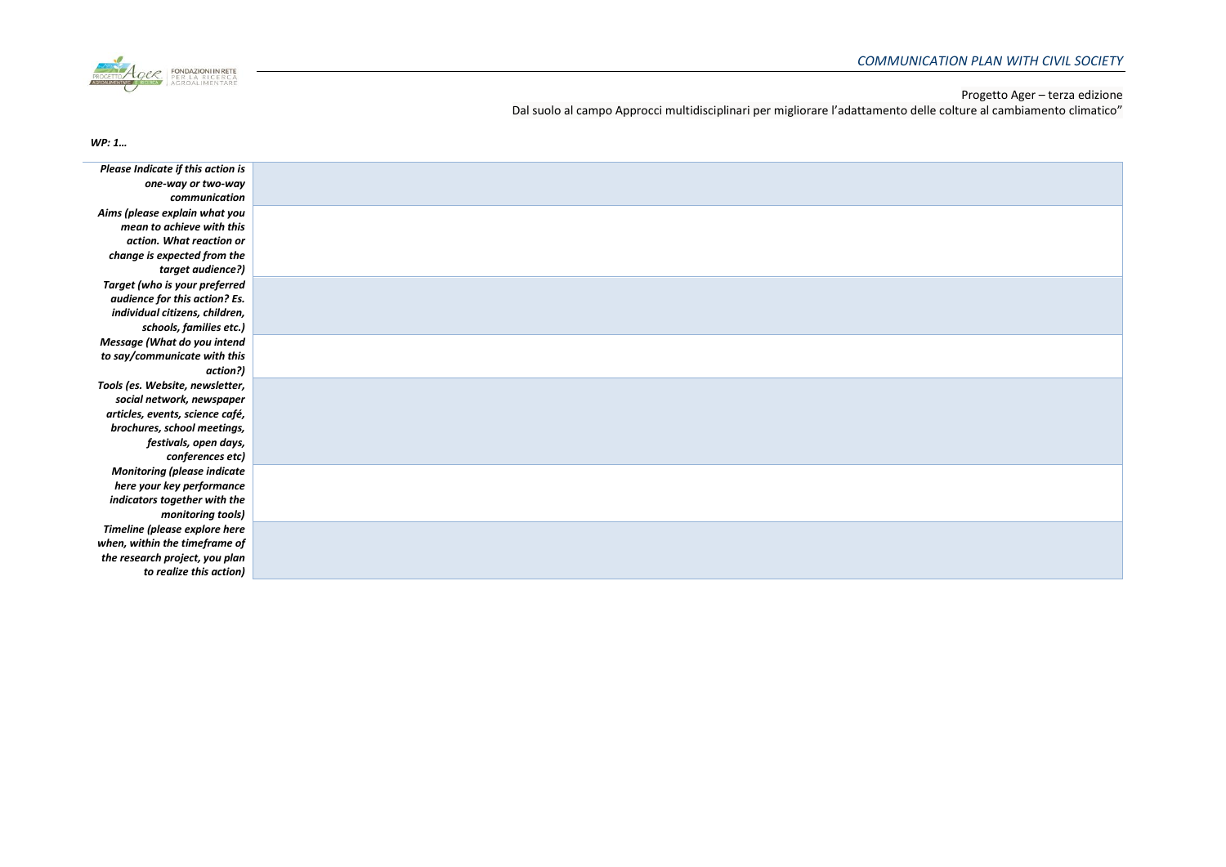

Dal suolo al campo Approcci multidisciplinari per migliorare l'adattamento delle colture al cambiamento climatico"

*WP: 1…*

| Please Indicate if this action is  |  |
|------------------------------------|--|
| one-way or two-way                 |  |
| communication                      |  |
| Aims (please explain what you      |  |
| mean to achieve with this          |  |
| action. What reaction or           |  |
| change is expected from the        |  |
| target audience?)                  |  |
| Target (who is your preferred      |  |
| audience for this action? Es.      |  |
| individual citizens, children,     |  |
| schools, families etc.)            |  |
| Message (What do you intend        |  |
| to say/communicate with this       |  |
| action?)                           |  |
| Tools (es. Website, newsletter,    |  |
| social network, newspaper          |  |
| articles, events, science café,    |  |
| brochures, school meetings,        |  |
| festivals, open days,              |  |
| conferences etc)                   |  |
| <b>Monitoring (please indicate</b> |  |
| here your key performance          |  |
| indicators together with the       |  |
| monitoring tools)                  |  |
| Timeline (please explore here      |  |
| when, within the timeframe of      |  |
| the research project, you plan     |  |
| to realize this action)            |  |